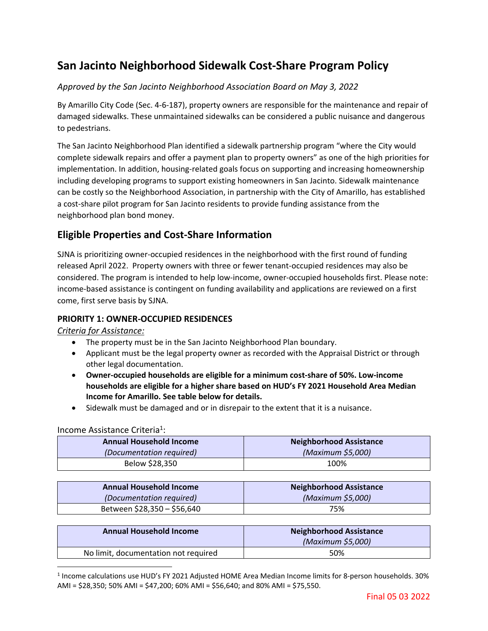# **San Jacinto Neighborhood Sidewalk Cost‐Share Program Policy**

## *Approved by the San Jacinto Neighborhood Association Board on May 3, 2022*

By Amarillo City Code (Sec. 4‐6‐187), property owners are responsible for the maintenance and repair of damaged sidewalks. These unmaintained sidewalks can be considered a public nuisance and dangerous to pedestrians.

The San Jacinto Neighborhood Plan identified a sidewalk partnership program "where the City would complete sidewalk repairs and offer a payment plan to property owners" as one of the high priorities for implementation. In addition, housing-related goals focus on supporting and increasing homeownership including developing programs to support existing homeowners in San Jacinto. Sidewalk maintenance can be costly so the Neighborhood Association, in partnership with the City of Amarillo, has established a cost‐share pilot program for San Jacinto residents to provide funding assistance from the neighborhood plan bond money.

# **Eligible Properties and Cost‐Share Information**

SJNA is prioritizing owner‐occupied residences in the neighborhood with the first round of funding released April 2022. Property owners with three or fewer tenant‐occupied residences may also be considered. The program is intended to help low‐income, owner‐occupied households first. Please note: income‐based assistance is contingent on funding availability and applications are reviewed on a first come, first serve basis by SJNA.

### **PRIORITY 1: OWNER‐OCCUPIED RESIDENCES**

#### *Criteria for Assistance:*

- The property must be in the San Jacinto Neighborhood Plan boundary.
- Applicant must be the legal property owner as recorded with the Appraisal District or through other legal documentation.
- **Owner‐occupied households are eligible for a minimum cost‐share of 50%. Low‐income households are eligible for a higher share based on HUD's FY 2021 Household Area Median Income for Amarillo. See table below for details.**
- Sidewalk must be damaged and or in disrepair to the extent that it is a nuisance.

#### Income Assistance Criteria<sup>1</sup>:

| <b>Annual Household Income</b> | <b>Neighborhood Assistance</b> |
|--------------------------------|--------------------------------|
| (Documentation required)       | (Maximum \$5,000)              |
| Below \$28,350                 | 100%                           |

| <b>Annual Household Income</b> | Neighborhood Assistance |
|--------------------------------|-------------------------|
| (Documentation required)       | (Maximum \$5,000)       |
| Between \$28,350 – \$56,640    | 75%                     |

| <b>Annual Household Income</b>       | <b>Neighborhood Assistance</b><br>(Maximum \$5,000) |
|--------------------------------------|-----------------------------------------------------|
| No limit, documentation not required | 50%                                                 |

<sup>1</sup> Income calculations use HUD's FY 2021 Adjusted HOME Area Median Income limits for 8‐person households. 30% AMI = \$28,350; 50% AMI = \$47,200; 60% AMI = \$56,640; and 80% AMI = \$75,550.